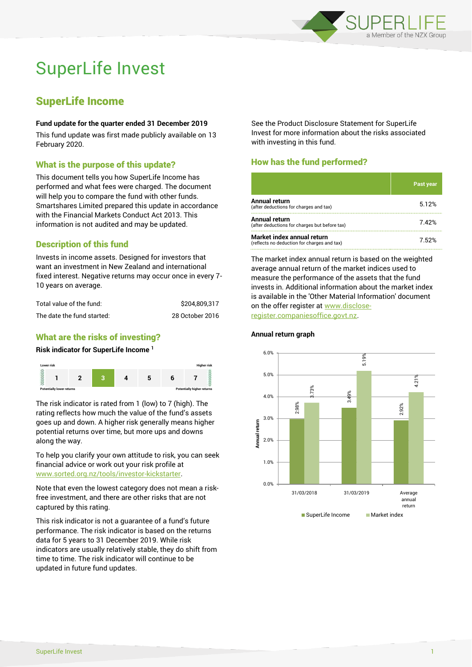

# SuperLife Invest

# SuperLife Income

#### **Fund update for the quarter ended 31 December 2019**

This fund update was first made publicly available on 13 February 2020.

# What is the purpose of this update?

This document tells you how SuperLife Income has performed and what fees were charged. The document will help you to compare the fund with other funds. Smartshares Limited prepared this update in accordance with the Financial Markets Conduct Act 2013. This information is not audited and may be updated.

# Description of this fund

Invests in income assets. Designed for investors that want an investment in New Zealand and international fixed interest. Negative returns may occur once in every 7- 10 years on average.

| Total value of the fund:   | \$204.809.317   |  |  |
|----------------------------|-----------------|--|--|
| The date the fund started: | 28 October 2016 |  |  |

# What are the risks of investing?

#### **Risk indicator for SuperLife Income <sup>1</sup>**



The risk indicator is rated from 1 (low) to 7 (high). The rating reflects how much the value of the fund's assets goes up and down. A higher risk generally means higher potential returns over time, but more ups and downs along the way.

To help you clarify your own attitude to risk, you can seek financial advice or work out your risk profile at [www.sorted.org.nz/tools/investor-kickstarter.](http://www.sorted.org.nz/tools/investor-kickstarter)

Note that even the lowest category does not mean a riskfree investment, and there are other risks that are not captured by this rating.

This risk indicator is not a guarantee of a fund's future performance. The risk indicator is based on the returns data for 5 years to 31 December 2019. While risk indicators are usually relatively stable, they do shift from time to time. The risk indicator will continue to be updated in future fund updates.

See the Product Disclosure Statement for SuperLife Invest for more information about the risks associated with investing in this fund.

# How has the fund performed?

|                                                                           | <b>Past year</b> |
|---------------------------------------------------------------------------|------------------|
| Annual return<br>(after deductions for charges and tax)                   | 5.12%            |
| Annual return<br>(after deductions for charges but before tax)            | 7.42%            |
| Market index annual return<br>(reflects no deduction for charges and tax) | 7 52%            |

The market index annual return is based on the weighted average annual return of the market indices used to measure the performance of the assets that the fund invests in. Additional information about the market index is available in the 'Other Material Information' document on the offer register at www.discloseregister.companiesoffice.govt.nz.



## **Annual return graph**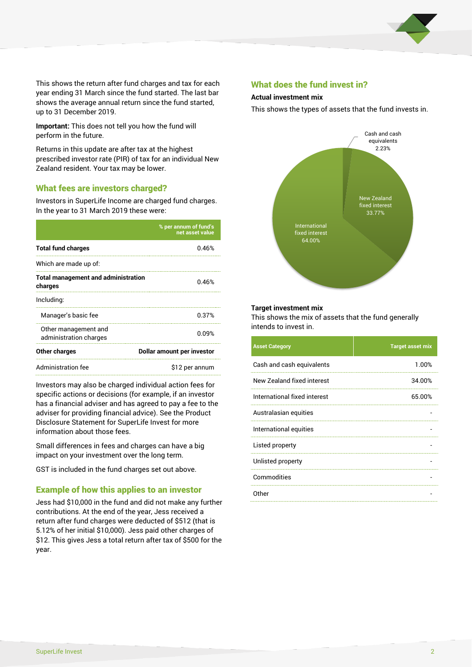

This shows the return after fund charges and tax for each year ending 31 March since the fund started. The last bar shows the average annual return since the fund started, up to 31 December 2019.

**Important:** This does not tell you how the fund will perform in the future.

Returns in this update are after tax at the highest prescribed investor rate (PIR) of tax for an individual New Zealand resident. Your tax may be lower.

## What fees are investors charged?

Investors in SuperLife Income are charged fund charges. In the year to 31 March 2019 these were:

|                                                       | % per annum of fund's<br>net asset value |  |
|-------------------------------------------------------|------------------------------------------|--|
| <b>Total fund charges</b>                             | 0.46%                                    |  |
| Which are made up of:                                 |                                          |  |
| <b>Total management and administration</b><br>charges | 0.46%                                    |  |
| Including:                                            |                                          |  |
| Manager's basic fee                                   | 0.37%                                    |  |
| Other management and<br>administration charges        | 0.09%                                    |  |
| Other charges                                         | Dollar amount per investor               |  |
| Administration fee                                    | \$12 per annum                           |  |

Investors may also be charged individual action fees for specific actions or decisions (for example, if an investor has a financial adviser and has agreed to pay a fee to the adviser for providing financial advice). See the Product Disclosure Statement for SuperLife Invest for more information about those fees.

Small differences in fees and charges can have a big impact on your investment over the long term.

GST is included in the fund charges set out above.

## Example of how this applies to an investor

Jess had \$10,000 in the fund and did not make any further contributions. At the end of the year, Jess received a return after fund charges were deducted of \$512 (that is 5.12% of her initial \$10,000). Jess paid other charges of \$12. This gives Jess a total return after tax of \$500 for the year.

## What does the fund invest in?

#### **Actual investment mix**

This shows the types of assets that the fund invests in.



#### **Target investment mix**

This shows the mix of assets that the fund generally intends to invest in.

| <b>Asset Category</b>        | <b>Target asset mix</b> |
|------------------------------|-------------------------|
| Cash and cash equivalents    | 1.00%                   |
| New Zealand fixed interest   | 34.00%                  |
| International fixed interest | 65.00%                  |
| Australasian equities        |                         |
| International equities       |                         |
| Listed property              |                         |
| Unlisted property            |                         |
| Commodities                  |                         |
| Other                        |                         |